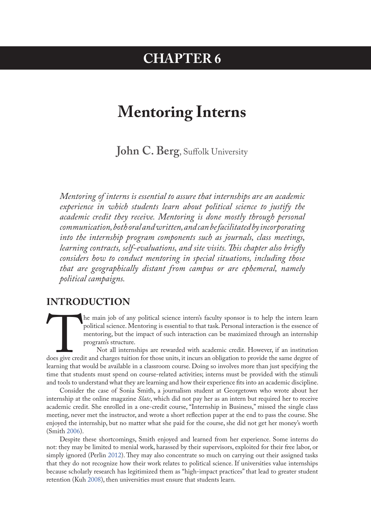## **CHAPTER 6**

# **Mentoring Interns**

**John C. Berg**, Suffolk University

*Mentoring of interns is essential to assure that internships are an academic experience in which students learn about political science to justify the academic credit they receive. Mentoring is done mostly through personal communication, both oral and written, and can be facilitated by incorporating into the internship program components such as journals, class meetings, learning contracts, self-evaluations, and site visits. This chapter also briefly considers how to conduct mentoring in special situations, including those that are geographically distant from campus or are ephemeral, namely political campaigns.*

### **INTRODUCTION**

The main job of any political science intern's faculty sponsor is to help the intern learn<br>political science. Mentoring is essential to that task. Personal interaction is the essence of<br>mentoring, but the impact of such in political science. Mentoring is essential to that task. Personal interaction is the essence of mentoring, but the impact of such interaction can be maximized through an internship program's structure.

Not all internships are rewarded with academic credit. However, if an institution does give credit and charges tuition for those units, it incurs an obligation to provide the same degree of learning that would be available in a classroom course. Doing so involves more than just specifying the time that students must spend on course-related activities; interns must be provided with the stimuli and tools to understand what they are learning and how their experience fits into an academic discipline.

Consider the case of Sonia Smith, a journalism student at Georgetown who wrote about her internship at the online magazine *Slate*, which did not pay her as an intern but required her to receive academic credit. She enrolled in a one-credit course, "Internship in Business," missed the single class meeting, never met the instructor, and wrote a short reflection paper at the end to pass the course. She enjoyed the internship, but no matter what she paid for the course, she did not get her money's worth (Smith [2006\)](#page-7-0).

Despite these shortcomings, Smith enjoyed and learned from her experience. Some interns do not: they may be limited to menial work, harassed by their supervisors, exploited for their free labor, or simply ignored (Perlin [2012\)](#page-7-1). They may also concentrate so much on carrying out their assigned tasks that they do not recognize how their work relates to political science. If universities value internships because scholarly research has legitimized them as "high-impact practices" that lead to greater student retention (Kuh 2008), then universities must ensure that students learn.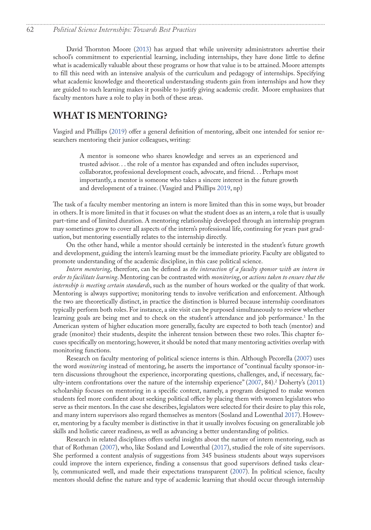<span id="page-1-0"></span>David Thornton Moore ([2013\)](#page-7-2) has argued that while university administrators advertise their school's commitment to experiential learning, including internships, they have done little to define what is academically valuable about these programs or how that value is to be attained. Moore attempts to fill this need with an intensive analysis of the curriculum and pedagogy of internships. Specifying what academic knowledge and theoretical understanding students gain from internships and how they are guided to such learning makes it possible to justify giving academic credit. Moore emphasizes that faculty mentors have a role to play in both of these areas.

### **WHAT IS MENTORING?**

Vasgird and Phillips [\(2019](#page-7-3)) offer a general definition of mentoring, albeit one intended for senior researchers mentoring their junior colleagues, writing:

A mentor is someone who shares knowledge and serves as an experienced and trusted advisor. . . the role of a mentor has expanded and often includes supervisor, collaborator, professional development coach, advocate, and friend. . . Perhaps most importantly, a mentor is someone who takes a sincere interest in the future growth and development of a trainee. (Vasgird and Phillips [2019,](#page-7-3) np)

The task of a faculty member mentoring an intern is more limited than this in some ways, but broader in others. It is more limited in that it focuses on what the student does as an intern, a role that is usually part-time and of limited duration. A mentoring relationship developed through an internship program may sometimes grow to cover all aspects of the intern's professional life, continuing for years past graduation, but mentoring essentially relates to the internship directly.

On the other hand, while a mentor should certainly be interested in the student's future growth and development, guiding the intern's learning must be the immediate priority. Faculty are obligated to promote understanding of the academic discipline, in this case political science.

*Intern mentoring*, therefore, can be defined as *the interaction of a faculty sponsor with an intern in order to facilitate learning*. Mentoring can be contrasted with *monitoring*, or *actions taken to ensure that the internship is meeting certain standards*, such as the number of hours worked or the quality of that work. Mentoring is always supportive; monitoring tends to involve verification and enforcement. Although the two are theoretically distinct, in practice the distinction is blurred because internship coordinators typically perform both roles. For instance, a site visit can be purposed simultaneously to review whether learning goals are being met and to check on the student's attendance and job performance.[1](#page-8-0) In the American system of higher education more generally, faculty are expected to both teach (mentor) and grade (monitor) their students, despite the inherent tension between these two roles. This chapter focuses specifically on mentoring; however, it should be noted that many mentoring activities overlap with monitoring functions.

Research on faculty mentoring of political science interns is thin. Although Pecorella (2007) uses the word *monitoring* instead of mentoring, he asserts the importance of "continual faculty sponsor-intern discussions throughout the experience, incorporating questions, challenges, and, if necessary, faculty-intern confrontations over the nature of the internship experience" (2007, 84).[2](#page-8-0) Doherty's (2011) scholarship focuses on mentoring in a specific context, namely, a program designed to make women students feel more confident about seeking political office by placing them with women legislators who serve as their mentors. In the case she describes, legislators were selected for their desire to play this role, and many intern supervisors also regard themselves as mentors (Sosland and Lowenthal [2017\)](#page-7-4). However, mentoring by a faculty member is distinctive in that it usually involves focusing on generalizable job skills and holistic career readiness, as well as advancing a better understanding of politics.

Research in related disciplines offers useful insights about the nature of intern mentoring, such as that of Rothman ([2007\)](#page-7-5), who, like Sosland and Lowenthal [\(2017](#page-7-4)), studied the role of site supervisors. She performed a content analysis of suggestions from 345 business students about ways supervisors could improve the intern experience, finding a consensus that good supervisors defined tasks clearly, communicated well, and made their expectations transparent ([2007\)](#page-7-4). In political science, faculty mentors should define the nature and type of academic learning that should occur through internship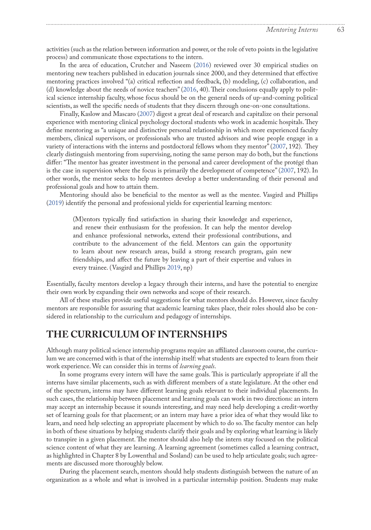activities (such as the relation between information and power, or the role of veto points in the legislative process) and communicate those expectations to the intern.

In the area of education, Crutcher and Naseem (2016) reviewed over 30 empirical studies on mentoring new teachers published in education journals since 2000, and they determined that effective mentoring practices involved "(a) critical reflection and feedback, (b) modeling, (c) collaboration, and (d) knowledge about the needs of novice teachers" (2016, 40). Their conclusions equally apply to political science internship faculty, whose focus should be on the general needs of up-and-coming political scientists, as well the specific needs of students that they discern through one-on-one consultations.

Finally, Kaslow and Mascaro (2007) digest a great deal of research and capitalize on their personal experience with mentoring clinical psychology doctoral students who work in academic hospitals. They define mentoring as "a unique and distinctive personal relationship in which more experienced faculty members, clinical supervisors, or professionals who are trusted advisors and wise people engage in a variety of interactions with the interns and postdoctoral fellows whom they mentor" (2007, 192). They clearly distinguish mentoring from supervising, noting the same person may do both, but the functions differ: "The mentor has greater investment in the personal and career development of the protégé than is the case in supervision where the focus is primarily the development of competence" (2007, 192). In other words, the mentor seeks to help mentees develop a better understanding of their personal and professional goals and how to attain them.

Mentoring should also be beneficial to the mentor as well as the mentee. Vasgird and Phillips ([2019\)](#page-7-3) identify the personal and professional yields for experiential learning mentors:

(M)entors typically find satisfaction in sharing their knowledge and experience, and renew their enthusiasm for the profession. It can help the mentor develop and enhance professional networks, extend their professional contributions, and contribute to the advancement of the field. Mentors can gain the opportunity to learn about new research areas, build a strong research program, gain new friendships, and affect the future by leaving a part of their expertise and values in every trainee. (Vasgird and Phillips [2019](#page-7-3), np)

Essentially, faculty mentors develop a legacy through their interns, and have the potential to energize their own work by expanding their own networks and scope of their research.

All of these studies provide useful suggestions for what mentors should do. However, since faculty mentors are responsible for assuring that academic learning takes place, their roles should also be considered in relationship to the curriculum and pedagogy of internships.

### **THE CURRICULUM OF INTERNSHIPS**

Although many political science internship programs require an affiliated classroom course, the curriculum we are concerned with is that of the internship itself: what students are expected to learn from their work experience. We can consider this in terms of *learning goals*.

In some programs every intern will have the same goals. This is particularly appropriate if all the interns have similar placements, such as with different members of a state legislature. At the other end of the spectrum, interns may have different learning goals relevant to their individual placements. In such cases, the relationship between placement and learning goals can work in two directions: an intern may accept an internship because it sounds interesting, and may need help developing a credit-worthy set of learning goals for that placement; or an intern may have a prior idea of what they would like to learn, and need help selecting an appropriate placement by which to do so. The faculty mentor can help in both of these situations by helping students clarify their goals and by exploring what learning is likely to transpire in a given placement. The mentor should also help the intern stay focused on the political science content of what they are learning. A learning agreement (sometimes called a learning contract, as highlighted in Chapter 8 by Lowenthal and Sosland) can be used to help articulate goals; such agreements are discussed more thoroughly below.

During the placement search, mentors should help students distinguish between the nature of an organization as a whole and what is involved in a particular internship position. Students may make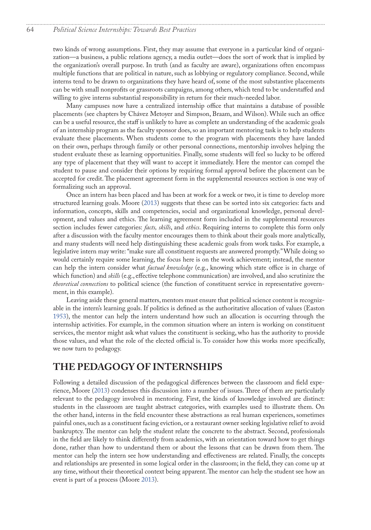#### 64 *Political Science Internships: Towards Best Practices*

two kinds of wrong assumptions. First, they may assume that everyone in a particular kind of organization—a business, a public relations agency, a media outlet—does the sort of work that is implied by the organization's overall purpose. In truth (and as faculty are aware), organizations often encompass multiple functions that are political in nature, such as lobbying or regulatory compliance. Second, while interns tend to be drawn to organizations they have heard of, some of the most substantive placements can be with small nonprofits or grassroots campaigns, among others, which tend to be understaffed and willing to give interns substantial responsibility in return for their much-needed labor.

Many campuses now have a centralized internship office that maintains a database of possible placements (see chapters by Chávez Metoyer and Simpson, Braam, and Wilson). While such an office can be a useful resource, the staff is unlikely to have as complete an understanding of the academic goals of an internship program as the faculty sponsor does, so an important mentoring task is to help students evaluate these placements. When students come to the program with placements they have landed on their own, perhaps through family or other personal connections, mentorship involves helping the student evaluate these as learning opportunities. Finally, some students will feel so lucky to be offered any type of placement that they will want to accept it immediately. Here the mentor can compel the student to pause and consider their options by requiring formal approval before the placement can be accepted for credit. The placement agreement form in the supplemental resources section is one way of formalizing such an approval.

Once an intern has been placed and has been at work for a week or two, it is time to develop more structured learning goals. Moore [\(2013](#page-7-2)) suggests that these can be sorted into six categories: facts and information, concepts, skills and competencies, social and organizational knowledge, personal development, and values and ethics. The learning agreement form included in the supplemental resources section includes fewer categories: *facts, skills*, and *ethics*. Requiring interns to complete this form only after a discussion with the faculty mentor encourages them to think about their goals more analytically, and many students will need help distinguishing these academic goals from work tasks. For example, a legislative intern may write: "make sure all constituent requests are answered promptly." While doing so would certainly require some learning, the focus here is on the work achievement; instead, the mentor can help the intern consider what *factual knowledge* (e.g., knowing which state office is in charge of which function) and *skills* (e.g., effective telephone communication) are involved, and also scrutinize the *theoretical connections* to political science (the function of constituent service in representative government, in this example).

Leaving aside these general matters, mentors must ensure that political science content is recognizable in the intern's learning goals. If politics is defined as the authoritative allocation of values (Easton [1953](#page-7-6)), the mentor can help the intern understand how such an allocation is occurring through the internship activities. For example, in the common situation where an intern is working on constituent services, the mentor might ask what values the constituent is seeking, who has the authority to provide those values, and what the role of the elected official is. To consider how this works more specifically, we now turn to pedagogy.

### **THE PEDAGOGY OF INTERNSHIPS**

Following a detailed discussion of the pedagogical differences between the classroom and field experience, Moore ([2013\)](#page-7-2) condenses this discussion into a number of issues. Three of them are particularly relevant to the pedagogy involved in mentoring. First, the kinds of knowledge involved are distinct: students in the classroom are taught abstract categories, with examples used to illustrate them. On the other hand, interns in the field encounter these abstractions as real human experiences, sometimes painful ones, such as a constituent facing eviction, or a restaurant owner seeking legislative relief to avoid bankruptcy. The mentor can help the student relate the concrete to the abstract. Second, professionals in the field are likely to think differently from academics, with an orientation toward how to get things done, rather than how to understand them or about the lessons that can be drawn from them. The mentor can help the intern see how understanding and effectiveness are related. Finally, the concepts and relationships are presented in some logical order in the classroom; in the field, they can come up at any time, without their theoretical context being apparent. The mentor can help the student see how an event is part of a process (Moore [2013](#page-7-2)).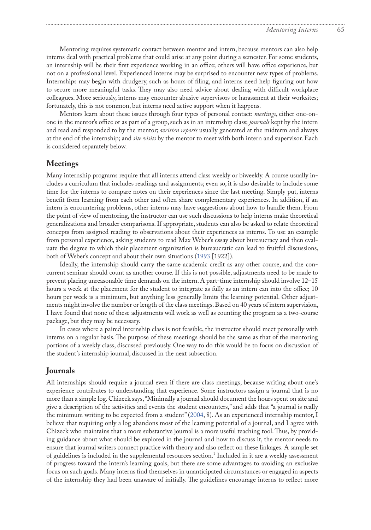<span id="page-4-0"></span>Mentoring requires systematic contact between mentor and intern, because mentors can also help interns deal with practical problems that could arise at any point during a semester. For some students, an internship will be their first experience working in an office; others will have office experience, but not on a professional level. Experienced interns may be surprised to encounter new types of problems. Internships may begin with drudgery, such as hours of filing, and interns need help figuring out how to secure more meaningful tasks. They may also need advice about dealing with difficult workplace colleagues. More seriously, interns may encounter abusive supervisors or harassment at their worksites; fortunately, this is not common, but interns need active support when it happens.

Mentors learn about these issues through four types of personal contact: *meetings*, either one-onone in the mentor's office or as part of a group, such as in an internship class; *journals* kept by the intern and read and responded to by the mentor; *written reports* usually generated at the midterm and always at the end of the internship; and *site visits* by the mentor to meet with both intern and supervisor. Each is considered separately below.

#### **Meetings**

Many internship programs require that all interns attend class weekly or biweekly. A course usually includes a curriculum that includes readings and assignments; even so, it is also desirable to include some time for the interns to compare notes on their experiences since the last meeting. Simply put, interns benefit from learning from each other and often share complementary experiences. In addition, if an intern is encountering problems, other interns may have suggestions about how to handle them. From the point of view of mentoring, the instructor can use such discussions to help interns make theoretical generalizations and broader comparisons. If appropriate, students can also be asked to relate theoretical concepts from assigned reading to observations about their experiences as interns. To use an example from personal experience, asking students to read Max Weber's essay about bureaucracy and then evaluate the degree to which their placement organization is bureaucratic can lead to fruitful discussions, both of Weber's concept and about their own situations [\(1993](#page-7-7) [1922]).

Ideally, the internship should carry the same academic credit as any other course, and the concurrent seminar should count as another course. If this is not possible, adjustments need to be made to prevent placing unreasonable time demands on the intern. A part-time internship should involve 12–15 hours a week at the placement for the student to integrate as fully as an intern can into the office; 10 hours per week is a minimum, but anything less generally limits the learning potential. Other adjustments might involve the number or length of the class meetings. Based on 40 years of intern supervision, I have found that none of these adjustments will work as well as counting the program as a two-course package, but they may be necessary.

In cases where a paired internship class is not feasible, the instructor should meet personally with interns on a regular basis. The purpose of these meetings should be the same as that of the mentoring portions of a weekly class, discussed previously. One way to do this would be to focus on discussion of the student's internship journal, discussed in the next subsection.

#### **Journals**

All internships should require a journal even if there are class meetings, because writing about one's experience contributes to understanding that experience. Some instructors assign a journal that is no more than a simple log. Chizeck says, "Minimally a journal should document the hours spent on site and give a description of the activities and events the student encounters," and adds that "a journal is really the minimum writing to be expected from a student" (2004, 8). As an experienced internship mentor, I believe that requiring only a log abandons most of the learning potential of a journal, and I agree with Chizeck who maintains that a more substantive journal is a more useful teaching tool. Thus, by providing guidance about what should be explored in the journal and how to discuss it, the mentor needs to ensure that journal writers connect practice with theory and also reflect on these linkages. A sample set of guidelines is included in the supplemental resources section.[3](#page-8-0) Included in it are a weekly assessment of progress toward the intern's learning goals, but there are some advantages to avoiding an exclusive focus on such goals. Many interns find themselves in unanticipated circumstances or engaged in aspects of the internship they had been unaware of initially. The guidelines encourage interns to reflect more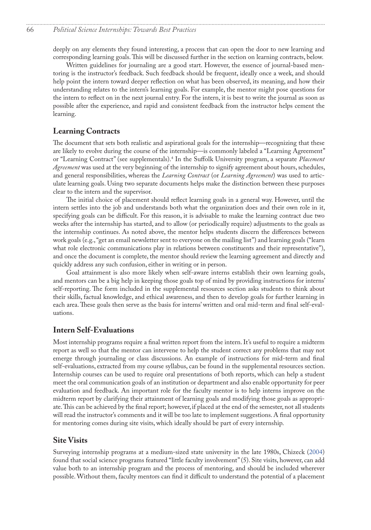<span id="page-5-0"></span>deeply on any elements they found interesting, a process that can open the door to new learning and corresponding learning goals. This will be discussed further in the section on learning contracts, below.

Written guidelines for journaling are a good start. However, the essence of journal-based mentoring is the instructor's feedback. Such feedback should be frequent, ideally once a week, and should help point the intern toward deeper reflection on what has been observed, its meaning, and how their understanding relates to the intern's learning goals. For example, the mentor might pose questions for the intern to reflect on in the next journal entry. For the intern, it is best to write the journal as soon as possible after the experience, and rapid and consistent feedback from the instructor helps cement the learning.

### **Learning Contracts**

The document that sets both realistic and aspirational goals for the internship—recognizing that these are likely to evolve during the course of the internship—is commonly labeled a "Learning Agreement" or "Learning Contract" (see supplementals).[4](#page-8-0) In the Suffolk University program, a separate *Placement Agreement* was used at the very beginning of the internship to signify agreement about hours, schedules, and general responsibilities, whereas the *Learning Contract* (or *Learning Agreement*) was used to articulate learning goals. Using two separate documents helps make the distinction between these purposes clear to the intern and the supervisor.

The initial choice of placement should reflect learning goals in a general way. However, until the intern settles into the job and understands both what the organization does and their own role in it, specifying goals can be difficult. For this reason, it is advisable to make the learning contract due two weeks after the internship has started, and to allow (or periodically require) adjustments to the goals as the internship continues. As noted above, the mentor helps students discern the differences between work goals (e.g., "get an email newsletter sent to everyone on the mailing list") and learning goals ("learn what role electronic communications play in relations between constituents and their representative"), and once the document is complete, the mentor should review the learning agreement and directly and quickly address any such confusion, either in writing or in person.

Goal attainment is also more likely when self-aware interns establish their own learning goals, and mentors can be a big help in keeping those goals top of mind by providing instructions for interns' self-reporting. The form included in the supplemental resources section asks students to think about their skills, factual knowledge, and ethical awareness, and then to develop goals for further learning in each area. These goals then serve as the basis for interns' written and oral mid-term and final self-evaluations.

#### **Intern Self-Evaluations**

Most internship programs require a final written report from the intern. It's useful to require a midterm report as well so that the mentor can intervene to help the student correct any problems that may not emerge through journaling or class discussions. An example of instructions for mid-term and final self-evaluations, extracted from my course syllabus, can be found in the supplemental resources section. Internship courses can be used to require oral presentations of both reports, which can help a student meet the oral communication goals of an institution or department and also enable opportunity for peer evaluation and feedback. An important role for the faculty mentor is to help interns improve on the midterm report by clarifying their attainment of learning goals and modifying those goals as appropriate. This can be achieved by the final report; however, if placed at the end of the semester, not all students will read the instructor's comments and it will be too late to implement suggestions. A final opportunity for mentoring comes during site visits, which ideally should be part of every internship.

#### **Site Visits**

Surveying internship programs at a medium-sized state university in the late 1980s, Chizeck (2004) found that social science programs featured "little faculty involvement" (5). Site visits, however, can add value both to an internship program and the process of mentoring, and should be included wherever possible. Without them, faculty mentors can find it difficult to understand the potential of a placement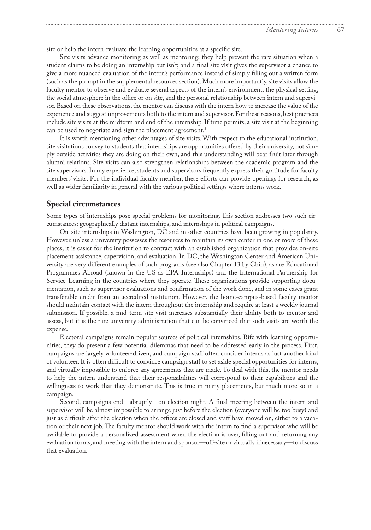<span id="page-6-0"></span>site or help the intern evaluate the learning opportunities at a specific site.

Site visits advance monitoring as well as mentoring; they help prevent the rare situation when a student claims to be doing an internship but isn't; and a final site visit gives the supervisor a chance to give a more nuanced evaluation of the intern's performance instead of simply filling out a written form (such as the prompt in the supplemental resources section). Much more importantly, site visits allow the faculty mentor to observe and evaluate several aspects of the intern's environment: the physical setting, the social atmosphere in the office or on site, and the personal relationship between intern and supervisor. Based on these observations, the mentor can discuss with the intern how to increase the value of the experience and suggest improvements both to the intern and supervisor. For these reasons, best practices include site visits at the midterm and end of the internship. If time permits, a site visit at the beginning can be used to negotiate and sign the placement agreement.<sup>[5](#page-8-0)</sup>

It is worth mentioning other advantages of site visits. With respect to the educational institution, site visitations convey to students that internships are opportunities offered by their university, not simply outside activities they are doing on their own, and this understanding will bear fruit later through alumni relations. Site visits can also strengthen relationships between the academic program and the site supervisors. In my experience, students and supervisors frequently express their gratitude for faculty members' visits. For the individual faculty member, these efforts can provide openings for research, as well as wider familiarity in general with the various political settings where interns work.

#### **Special circumstances**

Some types of internships pose special problems for monitoring. This section addresses two such circumstances: geographically distant internships, and internships in political campaigns.

On-site internships in Washington, DC and in other countries have been growing in popularity. However, unless a university possesses the resources to maintain its own center in one or more of these places, it is easier for the institution to contract with an established organization that provides on-site placement assistance, supervision, and evaluation. In DC, the Washington Center and American University are very different examples of such programs (see also Chapter 13 by Chin), as are Educational Programmes Abroad (known in the US as EPA Internships) and the International Partnership for Service-Learning in the countries where they operate. These organizations provide supporting documentation, such as supervisor evaluations and confirmation of the work done, and in some cases grant transferable credit from an accredited institution. However, the home-campus-based faculty mentor should maintain contact with the intern throughout the internship and require at least a weekly journal submission. If possible, a mid-term site visit increases substantially their ability both to mentor and assess, but it is the rare university administration that can be convinced that such visits are worth the expense.

Electoral campaigns remain popular sources of political internships. Rife with learning opportunities, they do present a few potential dilemmas that need to be addressed early in the process. First, campaigns are largely volunteer-driven, and campaign staff often consider interns as just another kind of volunteer. It is often difficult to convince campaign staff to set aside special opportunities for interns, and virtually impossible to enforce any agreements that are made. To deal with this, the mentor needs to help the intern understand that their responsibilities will correspond to their capabilities and the willingness to work that they demonstrate. This is true in many placements, but much more so in a campaign.

Second, campaigns end—abruptly—on election night. A final meeting between the intern and supervisor will be almost impossible to arrange just before the election (everyone will be too busy) and just as difficult after the election when the offices are closed and staff have moved on, either to a vacation or their next job. The faculty mentor should work with the intern to find a supervisor who will be available to provide a personalized assessment when the election is over, filling out and returning any evaluation forms, and meeting with the intern and sponsor—off-site or virtually if necessary—to discuss that evaluation.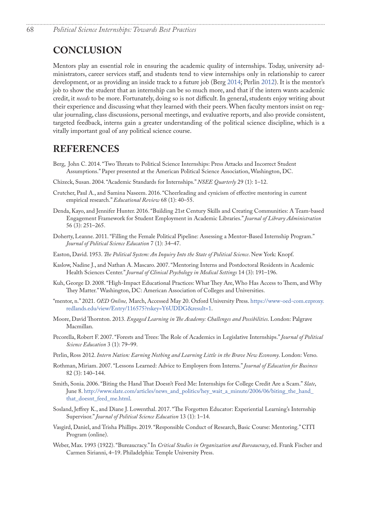### **CONCLUSION**

Mentors play an essential role in ensuring the academic quality of internships. Today, university administrators, career services staff, and students tend to view internships only in relationship to career development, or as providing an inside track to a future job (Berg 2014; Perlin [2012](#page-7-1)). It is the mentor's job to show the student that an internship can be so much more, and that if the intern wants academic credit, it *needs* to be more. Fortunately, doing so is not difficult. In general, students enjoy writing about their experience and discussing what they learned with their peers. When faculty mentors insist on regular journaling, class discussions, personal meetings, and evaluative reports, and also provide consistent, targeted feedback, interns gain a greater understanding of the political science discipline, which is a vitally important goal of any political science course.

### **REFERENCES**

- Berg, John C. 2014. "Two Threats to Political Science Internships: Press Attacks and Incorrect Student Assumptions." Paper presented at the American Political Science Association, Washington, DC.
- Chizeck, Susan. 2004. "Academic Standards for Internships." *NSEE Quarterly* 29 (1): 1–12.
- Crutcher, Paul A., and Samina Naseem. 2016. "Cheerleading and cynicism of effective mentoring in current empirical research." *Educational Review* 68 (1): 40–55.
- Denda, Kayo, and Jennifer Hunter. 2016. "Building 21st Century Skills and Creating Communities: A Team-based Engagement Framework for Student Employment in Academic Libraries." *Journal of Library Administration* 56 (3): 251–265.
- Doherty, Leanne. 2011. "Filling the Female Political Pipeline: Assessing a Mentor-Based Internship Program." *Journal of Political Science Education* 7 (1): 34–47.
- <span id="page-7-6"></span>Easton, David. 1953. *The Political System: An Inquiry Into the State of Political Science*. New York: Knopf.
- Kaslow, Nadine J., and Nathan A. Mascaro. 2007. "Mentoring Interns and Postdoctoral Residents in Academic Health Sciences Center." *Journal of Clinical Psychology in Medical Settings* 14 (3): 191–196.
- Kuh, George D. 2008. "High-Impact Educational Practices: What They Are, Who Has Access to Them, and Why They Matter." Washington, DC: American Association of Colleges and Universities.
- "mentor, n." 2021. *OED Online,* March, Accessed May 20. Oxford University Press. [https://www-oed-com.ezproxy.](https://www-oed-com.ezproxy.redlands.edu/view/Entry/116575?rskey=Y6UDDG&result=1) [redlands.edu/view/Entry/116575?rskey=Y6UDDG&result=1](https://www-oed-com.ezproxy.redlands.edu/view/Entry/116575?rskey=Y6UDDG&result=1).
- <span id="page-7-2"></span>Moore, David Thornton. 2013. *Engaged Learning in The Academy: Challenges and Possibilities*. London: Palgrave Macmillan.
- Pecorella, Robert F. 2007. "Forests and Trees: The Role of Academics in Legislative Internships." *Journal of Political Science Education* 3 (1): 79–99.
- <span id="page-7-1"></span>Perlin, Ross 2012. *Intern Nation: Earning Nothing and Learning Little in the Brave New Economy*. London: Verso.
- <span id="page-7-5"></span>Rothman, Miriam. 2007. "Lessons Learned: Advice to Employers from Interns." *Journal of Education for Business* 82 (3): 140–144.
- <span id="page-7-0"></span>Smith, Sonia. 2006. "Biting the Hand That Doesn't Feed Me: Internships for College Credit Are a Scam." *Slate*, June 8. [http://www.slate.com/articles/news\\_and\\_politics/hey\\_wait\\_a\\_minute/2006/06/biting\\_the\\_hand\\_](http://www.slate.com/articles/news_and_politics/hey_wait_a_minute/2006/06/biting_the_hand_that_doesnt_feed_me.html) [that\\_doesnt\\_feed\\_me.html.](http://www.slate.com/articles/news_and_politics/hey_wait_a_minute/2006/06/biting_the_hand_that_doesnt_feed_me.html)
- <span id="page-7-4"></span>Sosland, Jeffrey K., and Diane J. Lowenthal. 2017. "The Forgotten Educator: Experiential Learning's Internship Supervisor." *Journal of Political Science Education* 13 (1): 1–14.
- <span id="page-7-3"></span>Vasgird, Daniel, and Trisha Phillips. 2019. "Responsible Conduct of Research, Basic Course: Mentoring." CITI Program (online).
- <span id="page-7-7"></span>Weber, Max. 1993 (1922). "Bureaucracy." In *Critical Studies in Organization and Bureaucracy*, ed. Frank Fischer and Carmen Sirianni, 4–19. Philadelphia: Temple University Press.